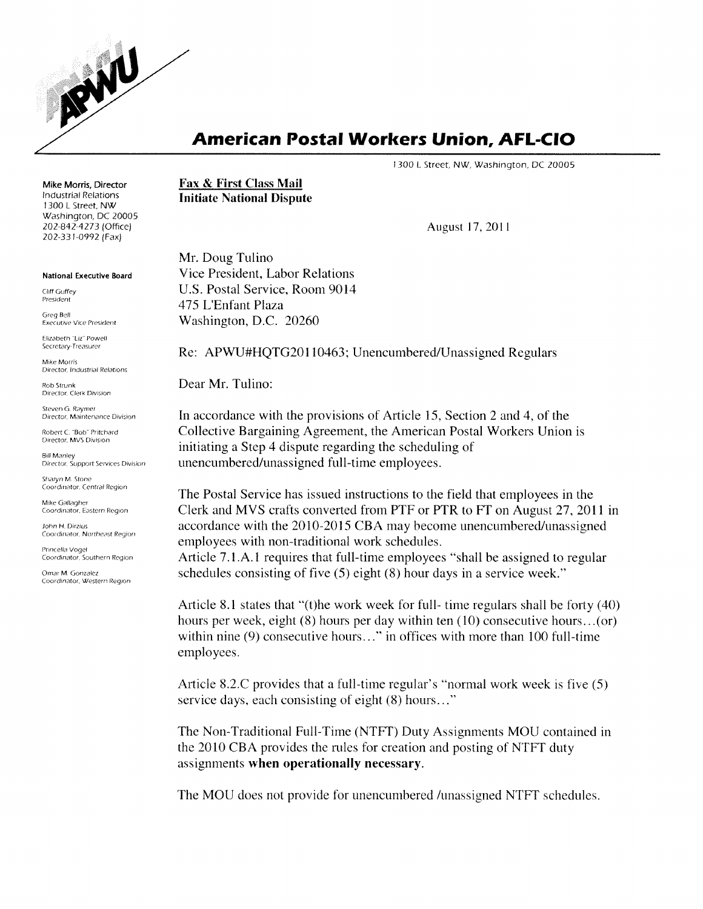

## **American Postal Workers Union, AFL-CIO**

1300 L Street, NW, Washington, DC 20005

Mike Morris, Director Industrial Relations 1300 L Street, NW Washington, DC 20005 *202-842A273* (Office) 202-331-0992 (Fax)

National Executive Board

Cliff Guffey President

Greg Bell Executive Vice President

Elizabeth "Uz" Powell Secretary-Treasurer

Mike Morris Director, Industrial Relations

Rob Strunk Director, Clerk Division

Steven G. Raymer Director, Maintenance Division

Robert C "Bob" Pritchard Director, MVS Division

Bill Manley Director, Support Services Division

Sharyn M. Stone Coordinator, Centra! Region

Mike Gallagher Coordinator, Eastern Region

John H. Dirzius Coordinator, Northeast Region

Princella Vogel Coordinator, Southern Region

Omar M. Gonzalez Coordinator, Western Region Fax & First Class Mail Initiate National Dispute

August 17, 20 II

Mr. Doug Tulino Vice President, Labor Relations U.S. Postal Service, Room 9014 475 L'Enfant Plaza Washington, D.C. 20260

Re: APWU#HQTG20110463; Unencumbered/Unassigned Regulars

Dear Mr. Tulino:

In accordance with the provisions of Article 15, Section 2 and 4, of the Collective Bargaining Agreement, the American Postal Workers Union is initiating a Step 4 dispute regarding the scheduling of unencumbered/unassigned full-time employees.

The Postal Service has issued instructions to the field that employees in the Clerk and MVS crafts converted from PTF or PTR to Ff on August 27,2011 in accordance with the 2010-2015 CBA may become unencumbered/unassigned employees with non-traditional work schedules.

Article 7.1.A.I requires that full-time employees "shall be assigned to regular schedules consisting of five (5) eight (8) hour days in a service week."

Article 8.1 states that "(t)he work week for full- time regulars shall be forty (40) hours per week, eight (8) hours per day within ten (10) consecutive hours...(or) within nine (9) consecutive hours..." in offices with more than 100 full-time employees.

Article 8.2.C provides that a full-time regular's "normal work week is five (5) service days, each consisting of eight (8) hours... "

The Non-Traditional Full-Time (NTFf) Duty Assignments MOU contained in the 2010 CBA provides the rules for creation and posting of NTFf duty assignments when operationally necessary.

The MOU does not provide for unencumbered /unassigned NTFf schedules.